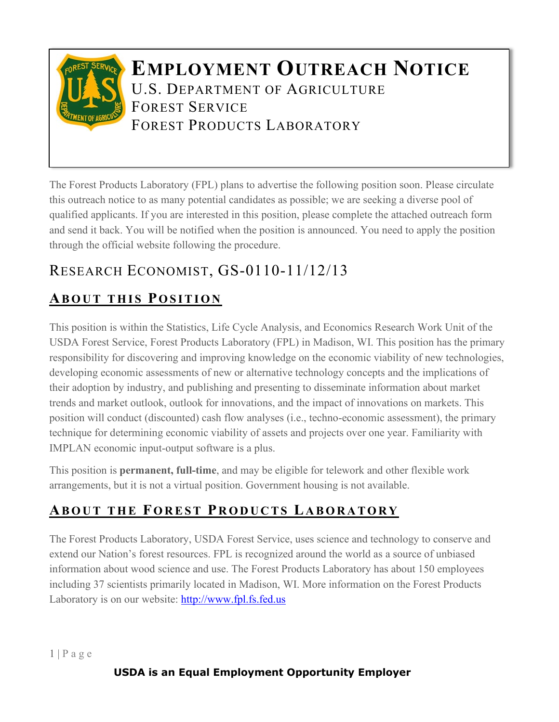

The Forest Products Laboratory (FPL) plans to advertise the following position soon. Please circulate this outreach notice to as many potential candidates as possible; we are seeking a diverse pool of qualified applicants. If you are interested in this position, please complete the attached outreach form and send it back. You will be notified when the position is announced. You need to apply the position through the official website following the procedure.

# RESEARCH ECONOMIST, GS-0110-11/12/13

## **ABOUT THIS POSITION**

This position is within the Statistics, Life Cycle Analysis, and Economics Research Work Unit of the USDA Forest Service, Forest Products Laboratory (FPL) in Madison, WI. This position has the primary responsibility for discovering and improving knowledge on the economic viability of new technologies, developing economic assessments of new or alternative technology concepts and the implications of their adoption by industry, and publishing and presenting to disseminate information about market trends and market outlook, outlook for innovations, and the impact of innovations on markets. This position will conduct (discounted) cash flow analyses (i.e., techno-economic assessment), the primary technique for determining economic viability of assets and projects over one year. Familiarity with IMPLAN economic input-output software is a plus.

This position is **permanent, full-time**, and may be eligible for telework and other flexible work arrangements, but it is not a virtual position. Government housing is not available.

## **ABOUT THE FOREST P RODUCTS L ABORATORY**

The Forest Products Laboratory, USDA Forest Service, uses science and technology to conserve and extend our Nation's forest resources. FPL is recognized around the world as a source of unbiased information about wood science and use. The Forest Products Laboratory has about 150 employees including 37 scientists primarily located in Madison, WI. More information on the Forest Products Laboratory is on our website: [http://www.fpl.fs.fed.us](http://www.fpl.fs.fed.us/)

 $1 | P a g e$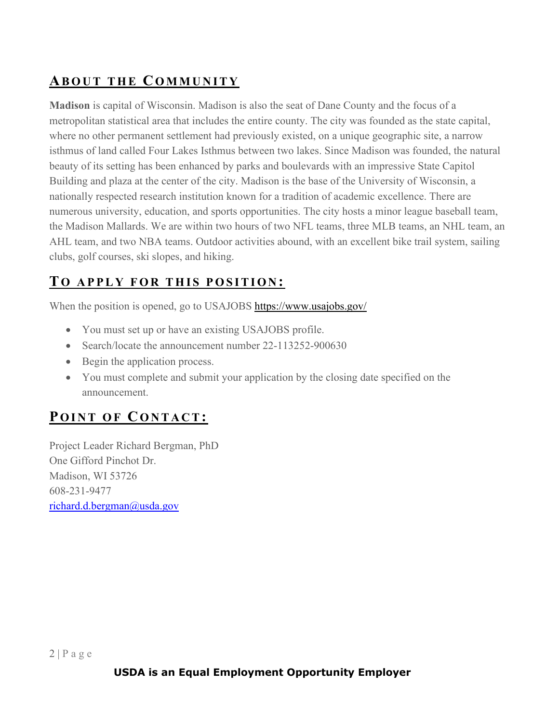### **ABOUT THE COMMUNITY**

**Madison** is capital of Wisconsin. Madison is also the seat of Dane County and the focus of a metropolitan statistical area that includes the entire county. The city was founded as the state capital, where no other permanent settlement had previously existed, on a unique geographic site, a narrow isthmus of land called Four Lakes Isthmus between two lakes. Since Madison was founded, the natural beauty of its setting has been enhanced by parks and boulevards with an impressive State Capitol Building and plaza at the center of the city. Madison is the base of the University of Wisconsin, a nationally respected research institution known for a tradition of academic excellence. There are numerous university, education, and sports opportunities. The city hosts a minor league baseball team, the Madison Mallards. We are within two hours of two NFL teams, three MLB teams, an NHL team, an AHL team, and two NBA teams. Outdoor activities abound, with an excellent bike trail system, sailing clubs, golf courses, ski slopes, and hiking.

### **T O APPLY FOR THIS P OSITION :**

When the position is opened, go to USAJOBS<https://www.usajobs.gov/>

- You must set up or have an existing USAJOBS profile.
- Search/locate the announcement number 22-113252-900630
- Begin the application process.
- You must complete and submit your application by the closing date specified on the announcement.

## **POINT OF C ONTACT:**

Project Leader Richard Bergman, PhD One Gifford Pinchot Dr. Madison, WI 53726 608-231-9477 [richard.d.bergman@usda.gov](mailto:richard.d.bergman@usda.gov)